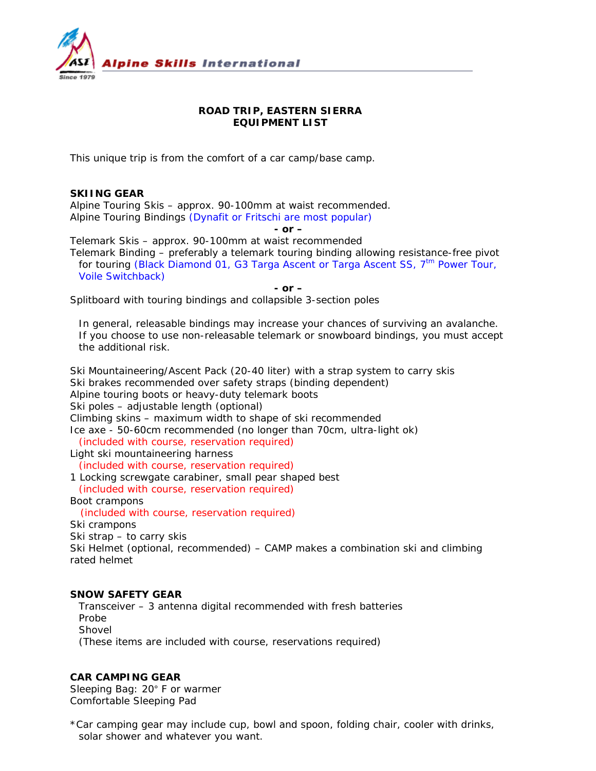

# **ROAD TRIP, EASTERN SIERRA EQUIPMENT LIST**

This unique trip is from the comfort of a car camp/base camp.

## **SKIING GEAR**

Alpine Touring Skis – approx. 90-100mm at waist recommended. Alpine Touring Bindings *(Dynafit or Fritschi are most popular)*

*- or –* 

Telemark Skis – approx. 90-100mm at waist recommended Telemark Binding – preferably a telemark touring binding allowing resistance-free pivot for touring (Black Diamond 01, G3 Targa Ascent or Targa Ascent SS,  $7<sup>tm</sup>$  Power Tour, Voile Switchback)

*- or –* 

Splitboard with touring bindings and collapsible 3-section poles

*In general, releasable bindings may increase your chances of surviving an avalanche. If you choose to use non-releasable telemark or snowboard bindings, you must accept the additional risk.* 

Ski Mountaineering/Ascent Pack (20-40 liter) with a strap system to carry skis Ski brakes recommended over safety straps (binding dependent) Alpine touring boots or heavy-duty telemark boots

Ski poles – adjustable length (optional)

Climbing skins – maximum width to shape of ski recommended

Ice axe - 50-60cm recommended (no longer than 70cm, ultra-light ok)

*(included with course, reservation required)*

Light ski mountaineering harness

*(included with course, reservation required)* 

1 Locking screwgate carabiner, small pear shaped best

*(included with course, reservation required)* 

Boot crampons

*(included with course, reservation required)*

Ski crampons

Ski strap – to carry skis

Ski Helmet (optional, recommended) – CAMP makes a combination ski and climbing rated helmet

### **SNOW SAFETY GEAR**

Transceiver – 3 antenna digital recommended with fresh batteries Probe Shovel *(These items are included with course, reservations required)*

### **CAR CAMPING GEAR**

Sleeping Bag: 20° F or warmer Comfortable Sleeping Pad

\*Car camping gear may include cup, bowl and spoon, folding chair, cooler with drinks, solar shower and whatever you want.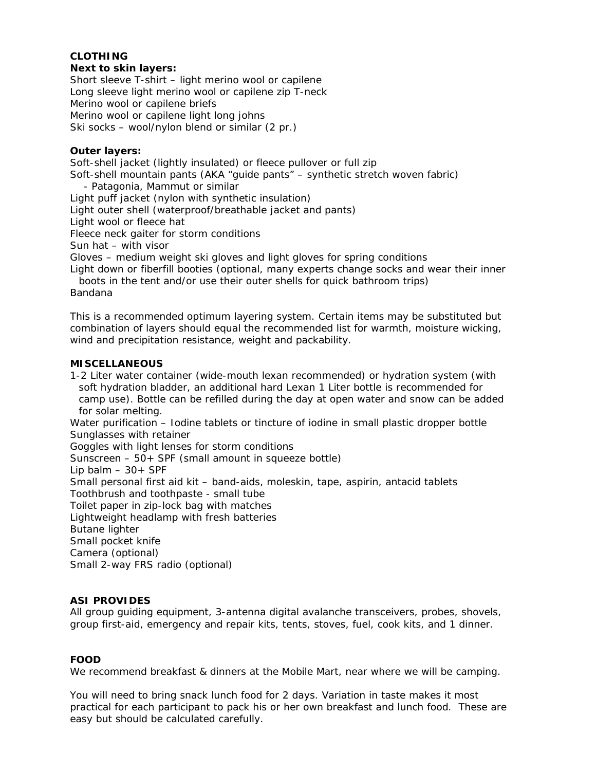# **CLOTHING**

#### **Next to skin layers:**

Short sleeve T-shirt – light merino wool or capilene Long sleeve light merino wool or capilene zip T-neck Merino wool or capilene briefs Merino wool or capilene light long johns Ski socks – wool/nylon blend or similar (2 pr.)

#### **Outer layers:**

Soft-shell jacket (lightly insulated) or fleece pullover or full zip Soft-shell mountain pants (AKA "guide pants" – synthetic stretch woven fabric) - Patagonia, Mammut or similar Light puff jacket (nylon with synthetic insulation) Light outer shell (waterproof/breathable jacket and pants) Light wool or fleece hat Fleece neck gaiter for storm conditions Sun hat – with visor Gloves – medium weight ski gloves and light gloves for spring conditions Light down or fiberfill booties (optional, many experts change socks and wear their inner boots in the tent and/or use their outer shells for quick bathroom trips) Bandana

*This is a recommended optimum layering system. Certain items may be substituted but combination of layers should equal the recommended list for warmth, moisture wicking, wind and precipitation resistance, weight and packability.* 

#### **MISCELLANEOUS**

1-2 Liter water container (wide-mouth lexan recommended) or hydration system (with soft hydration bladder, an additional hard Lexan 1 Liter bottle is recommended for camp use). Bottle can be refilled during the day at open water and snow can be added for solar melting. Water purification – Iodine tablets or tincture of iodine in small plastic dropper bottle Sunglasses with retainer Goggles with light lenses for storm conditions Sunscreen – 50+ SPF (small amount in squeeze bottle) Lip balm  $-30+$  SPF Small personal first aid kit – band-aids, moleskin, tape, aspirin, antacid tablets Toothbrush and toothpaste - small tube Toilet paper in zip-lock bag with matches Lightweight headlamp with fresh batteries Butane lighter Small pocket knife Camera (optional) Small 2-way FRS radio (optional)

## **ASI PROVIDES**

All group guiding equipment, 3-antenna digital avalanche transceivers, probes, shovels, group first-aid, emergency and repair kits, tents, stoves, fuel, cook kits, and 1 dinner.

### **FOOD**

We recommend breakfast & dinners at the Mobile Mart, near where we will be camping.

You will need to bring snack lunch food for 2 days. Variation in taste makes it most practical for each participant to pack his or her own breakfast and lunch food. These are easy but should be calculated carefully.